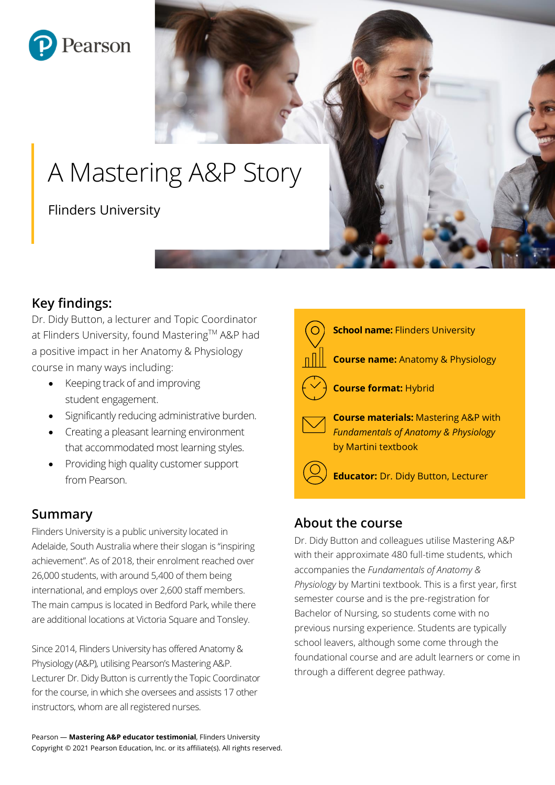

# A Mastering A&P Story

Flinders University

# **Key findings:**

Dr. Didy Button, a lecturer and Topic Coordinator at Flinders University, found Mastering™ A&P had a positive impact in her Anatomy & Physiology course in many ways including:

- Keeping track of and improving student engagement.
- Significantly reducing administrative burden.
- Creating a pleasant learning environment that accommodated most learning styles.
- Providing high quality customer support from Pearson.

# **Summary**

Flinders University is a public university located in Adelaide, South Australia where their slogan is "inspiring achievement". As of 2018, their enrolment reached over 26,000 students, with around 5,400 of them being international, and employs over 2,600 staff members. The main campus is located in Bedford Park, while there are additional locations at Victoria Square and Tonsley.

Since 2014, Flinders University has offered Anatomy & Physiology (A&P), utilising Pearson's Mastering A&P. Lecturer Dr. Didy Button is currently the Topic Coordinator for the course, in which she oversees and assists 17 other instructors, whom are all registered nurses.



#### **About the course**

Dr. Didy Button and colleagues utilise Mastering A&P with their approximate 480 full-time students, which accompanies the *Fundamentals of Anatomy & Physiology* by Martini textbook. This is a first year, first semester course and is the pre-registration for Bachelor of Nursing, so students come with no previous nursing experience. Students are typically school leavers, although some come through the foundational course and are adult learners or come in through a different degree pathway.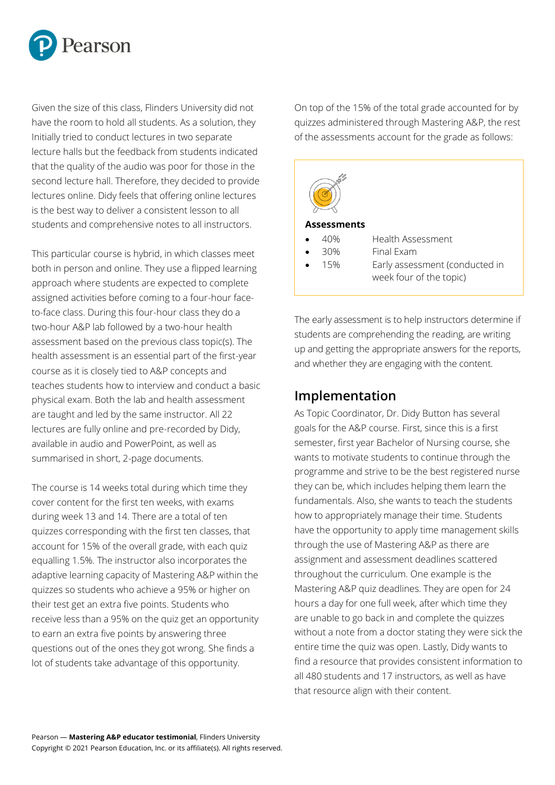

Given the size of this class, Flinders University did not have the room to hold all students. As a solution, they Initially tried to conduct lectures in two separate lecture halls but the feedback from students indicated that the quality of the audio was poor for those in the second lecture hall. Therefore, they decided to provide lectures online. Didy feels that offering online lectures is the best way to deliver a consistent lesson to all students and comprehensive notes to all instructors.

This particular course is hybrid, in which classes meet both in person and online. They use a flipped learning approach where students are expected to complete assigned activities before coming to a four-hour faceto-face class. During this four-hour class they do a two-hour A&P lab followed by a two-hour health assessment based on the previous class topic(s). The health assessment is an essential part of the first-year course as it is closely tied to A&P concepts and teaches students how to interview and conduct a basic physical exam. Both the lab and health assessment are taught and led by the same instructor. All 22 lectures are fully online and pre-recorded by Didy, available in audio and PowerPoint, as well as summarised in short, 2-page documents.

The course is 14 weeks total during which time they cover content for the first ten weeks, with exams during week 13 and 14. There are a total of ten quizzes corresponding with the first ten classes, that account for 15% of the overall grade, with each quiz equalling 1.5%. The instructor also incorporates the adaptive learning capacity of Mastering A&P within the quizzes so students who achieve a 95% or higher on their test get an extra five points. Students who receive less than a 95% on the quiz get an opportunity to earn an extra five points by answering three questions out of the ones they got wrong. She finds a lot of students take advantage of this opportunity.

On top of the 15% of the total grade accounted for by quizzes administered through Mastering A&P, the rest of the assessments account for the grade as follows:



The early assessment is to help instructors determine if students are comprehending the reading, are writing up and getting the appropriate answers for the reports, and whether they are engaging with the content.

#### **Implementation**

As Topic Coordinator, Dr. Didy Button has several goals for the A&P course. First, since this is a first semester, first year Bachelor of Nursing course, she wants to motivate students to continue through the programme and strive to be the best registered nurse they can be, which includes helping them learn the fundamentals. Also, she wants to teach the students how to appropriately manage their time. Students have the opportunity to apply time management skills through the use of Mastering A&P as there are assignment and assessment deadlines scattered throughout the curriculum. One example is the Mastering A&P quiz deadlines. They are open for 24 hours a day for one full week, after which time they are unable to go back in and complete the quizzes without a note from a doctor stating they were sick the entire time the quiz was open. Lastly, Didy wants to find a resource that provides consistent information to all 480 students and 17 instructors, as well as have that resource align with their content.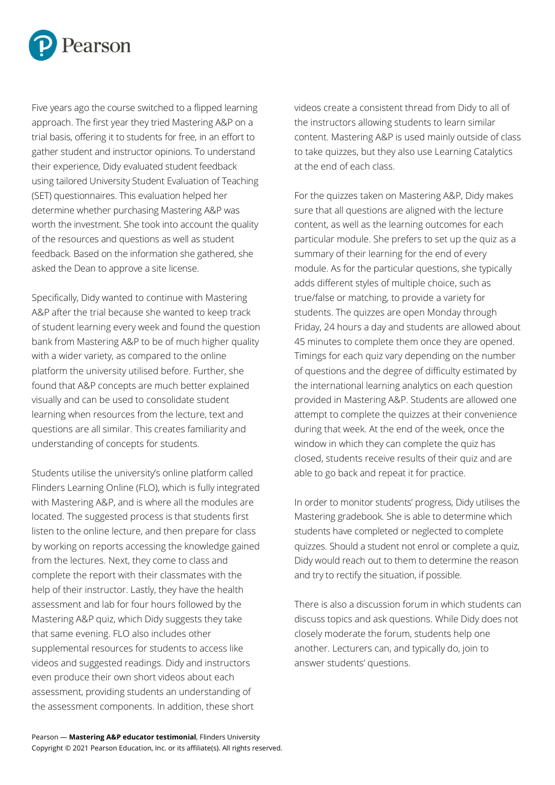

Five years ago the course switched to a flipped learning approach. The first year they tried Mastering A&P on a trial basis, offering it to students for free, in an effort to gather student and instructor opinions. To understand their experience, Didy evaluated student feedback using tailored University Student Evaluation of Teaching (SET) questionnaires. This evaluation helped her determine whether purchasing Mastering A&P was worth the investment. She took into account the quality of the resources and questions as well as student feedback. Based on the information she gathered, she asked the Dean to approve a site license.

Specifically, Didy wanted to continue with Mastering A&P after the trial because she wanted to keep track of student learning every week and found the question bank from Mastering A&P to be of much higher quality with a wider variety, as compared to the online platform the university utilised before. Further, she found that A&P concepts are much better explained visually and can be used to consolidate student learning when resources from the lecture, text and questions are all similar. This creates familiarity and understanding of concepts for students.

Students utilise the university's online platform called Flinders Learning Online (FLO), which is fully integrated with Mastering A&P, and is where all the modules are located. The suggested process is that students first listen to the online lecture, and then prepare for class by working on reports accessing the knowledge gained from the lectures. Next, they come to class and complete the report with their classmates with the help of their instructor. Lastly, they have the health assessment and lab for four hours followed by the Mastering A&P quiz, which Didy suggests they take that same evening. FLO also includes other supplemental resources for students to access like videos and suggested readings. Didy and instructors even produce their own short videos about each assessment, providing students an understanding of the assessment components. In addition, these short

videos create a consistent thread from Didy to all of the instructors allowing students to learn similar content. Mastering A&P is used mainly outside of class to take quizzes, but they also use Learning Catalytics at the end of each class.

For the quizzes taken on Mastering A&P, Didy makes sure that all questions are aligned with the lecture content, as well as the learning outcomes for each particular module. She prefers to set up the quiz as a summary of their learning for the end of every module. As for the particular questions, she typically adds different styles of multiple choice, such as true/false or matching, to provide a variety for students. The quizzes are open Monday through Friday, 24 hours a day and students are allowed about 45 minutes to complete them once they are opened. Timings for each quiz vary depending on the number of questions and the degree of difficulty estimated by the international learning analytics on each question provided in Mastering A&P. Students are allowed one attempt to complete the quizzes at their convenience during that week. At the end of the week, once the window in which they can complete the quiz has closed, students receive results of their quiz and are able to go back and repeat it for practice.

In order to monitor students' progress, Didy utilises the Mastering gradebook. She is able to determine which students have completed or neglected to complete quizzes. Should a student not enrol or complete a quiz, Didy would reach out to them to determine the reason and try to rectify the situation, if possible.

There is also a discussion forum in which students can discuss topics and ask questions. While Didy does not closely moderate the forum, students help one another. Lecturers can, and typically do, join to answer students' questions.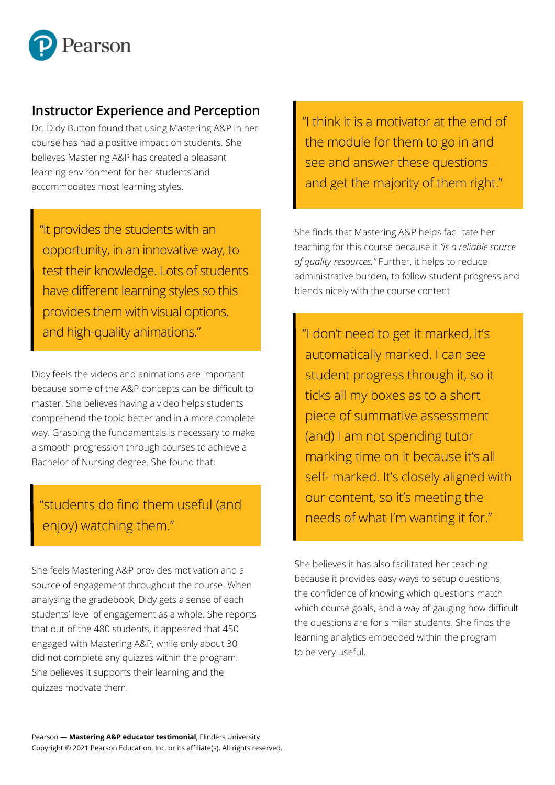

#### **Instructor Experience and Perception**

Dr. Didy Button found that using Mastering A&P in her course has had a positive impact on students. She believes Mastering A&P has created a pleasant learning environment for her students and accommodates most learning styles.

"It provides the students with an opportunity, in an innovative way, to test their knowledge. Lots of students have different learning styles so this provides them with visual options, and high-quality animations."

Didy feels the videos and animations are important because some of the A&P concepts can be difficult to master. She believes having a video helps students comprehend the topic better and in a more complete way. Grasping the fundamentals is necessary to make a smooth progression through courses to achieve a Bachelor of Nursing degree. She found that:

# "students do find them useful (and enjoy) watching them."

She feels Mastering A&P provides motivation and a source of engagement throughout the course. When analysing the gradebook, Didy gets a sense of each analysing the gradebook, bluy gets a sense of each<br>students' level of engagement as a whole. She reports that out of the 480 students, it appeared that 450 engaged with Mastering A&P, while only about 30 did not complete any quizzes within the program. She believes it supports their learning and the quizzes motivate them.

"I think it is a motivator at the end of the module for them to go in and see and answer these questions and get the majority of them right."

She finds that Mastering A&P helps facilitate her teaching for this course because it *"is a reliable source of quality resources."* Further, it helps to reduce administrative burden, to follow student progress and blends nicely with the course content.

"I don't need to get it marked, it's automatically marked. I can see student progress through it, so it ticks all my boxes as to a short piece of summative assessment (and) I am not spending tutor marking time on it because it's all self- marked. It's closely aligned with our content, so it's meeting the needs of what I'm wanting it for."

She believes it has also facilitated her teaching because it provides easy ways to setup questions, the confidence of knowing which questions match which course goals, and a way of gauging how difficult the questions are for similar students. She finds the learning analytics embedded within the program to be very useful.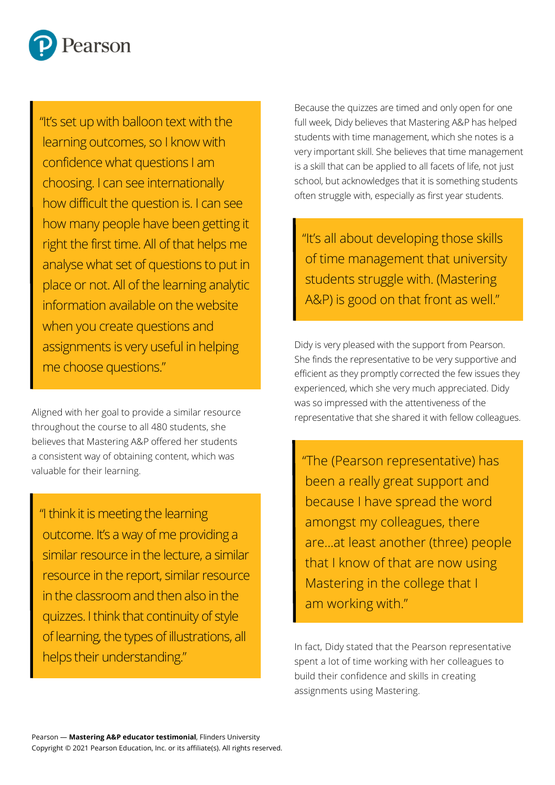

"It's set up with balloon text with the learning outcomes, so I know with confidence what questions I am choosing. I can see internationally how difficult the question is. I can see how many people have been getting it right the first time. All of that helps me analyse what set of questions to put in place or not. All of the learning analytic information available on the website when you create questions and assignments is very useful in helping me choose questions."

Aligned with her goal to provide a similar resource throughout the course to all 480 students, she believes that Mastering A&P offered her students a consistent way of obtaining content, which was valuable for their learning.

"I think it is meeting the learning outcome. It's a way of me providing a similar resource in the lecture, a similar resource in the report, similar resource in the classroom and then also in the quizzes. I think that continuity of style of learning, the types of illustrations, all helps their understanding."

Because the quizzes are timed and only open for one full week, Didy believes that Mastering A&P has helped students with time management, which she notes is a very important skill. She believes that time management is a skill that can be applied to all facets of life, not just school, but acknowledges that it is something students often struggle with, especially as first year students.

"It's all about developing those skills of time management that university students struggle with. (Mastering A&P) is good on that front as well."

Didy is very pleased with the support from Pearson. She finds the representative to be very supportive and efficient as they promptly corrected the few issues they experienced, which she very much appreciated. Didy was so impressed with the attentiveness of the representative that she shared it with fellow colleagues.

"The (Pearson representative) has been a really great support and because I have spread the word amongst my colleagues, there are...at least another (three) people that I know of that are now using Mastering in the college that I am working with."

In fact, Didy stated that the Pearson representative spent a lot of time working with her colleagues to build their confidence and skills in creating assignments using Mastering.